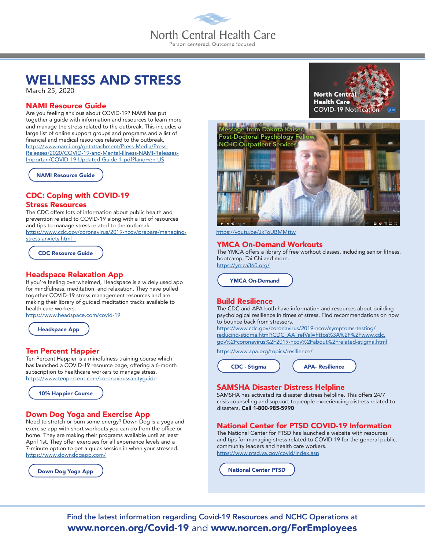# North Central Health Care Person centered. Outcome focused

## WELLNESS AND STRESS

March 25, 2020

## NAMI Resource Guide

Are you feeling anxious about COVID-19? NAMI has put together a guide with information and resources to learn more and manage the stress related to the outbreak. This includes a large list of online support groups and programs and a list of financial and medical resources related to the outbreak. [https://www.nami.org/getattachment/Press-Media/Press-](https://www.nami.org/getattachment/Press-Media/Press-Releases/2020/COVID-19-and-Mental-Illness-NAMI-Releases-Importan/COVID-19-Updated-Guide-1.pdf?lang=en-US
)[Releases/2020/COVID-19-and-Mental-Illness-NAMI-Releases-](https://www.nami.org/getattachment/Press-Media/Press-Releases/2020/COVID-19-and-Mental-Illness-NAMI-Releases-Importan/COVID-19-Updated-Guide-1.pdf?lang=en-US
)[Importan/COVID-19-Updated-Guide-1.pdf?lang=en-US](https://www.nami.org/getattachment/Press-Media/Press-Releases/2020/COVID-19-and-Mental-Illness-NAMI-Releases-Importan/COVID-19-Updated-Guide-1.pdf?lang=en-US
)

[NAMI Resource Guide](https://www.nami.org/getattachment/Press-Media/Press-Releases/2020/COVID-19-and-Mental-Illness-NAMI-Releases-Importan/COVID-19-Updated-Guide-1.pdf?lang=en-US
)

## CDC: Coping with COVID-19 Stress Resources

The CDC offers lots of information about public health and prevention related to COVID-19 along with a list of resources and tips to manage stress related to the outbreak. [https://www.cdc.gov/coronavirus/2019-ncov/prepare/managing](https://www.cdc.gov/coronavirus/2019-ncov/prepare/managing-stress-anxiety.html)[stress-anxiety.html](https://www.cdc.gov/coronavirus/2019-ncov/prepare/managing-stress-anxiety.html)

[CDC Resource Guide](https://www.cdc.gov/coronavirus/2019-ncov/prepare/managing-stress-anxiety.html)

#### Headspace Relaxation App

If you're feeling overwhelmed, Headspace is a widely used app for mindfulness, meditation, and relaxation. They have pulled together COVID-19 stress management resources and are making their library of guided meditation tracks available to health care workers.

<https://www.headspace.com/covid-19>



## Ten Percent Happier

Ten Percent Happier is a mindfulness training course which has launched a COVID-19 resource page, offering a 6-month subscription to healthcare workers to manage stress. <https://www.tenpercent.com/coronavirussanityguide>

[10% Happier Course](https://www.tenpercent.com/coronavirussanityguide)

#### Down Dog Yoga and Exercise App

Need to stretch or burn some energy? Down Dog is a yoga and exercise app with short workouts you can do from the office or home. They are making their programs available until at least April 1st. They offer exercises for all experience levels and a 7-minute option to get a quick session in when your stressed. <https://www.downdogapp.com/>

[Down Dog Yoga App](https://www.downdogapp.com/)





<https://youtu.be/JxToUBMMttw>

#### YMCA On-Demand Workouts

The YMCA offers a library of free workout classes, including senior fitness, bootcamp, Tai Chi and more. https://ymca360.org/

[YMCA On-Demand](https://ymca360.org/)

#### Build Resilience

The CDC and APA both have information and resources about building psychological resilience in times of stress. Find recommendations on how to bounce back from stressors.

[https://www.cdc.gov/coronavirus/2019-ncov/symptoms-testing/](https://www.apa.org/topics/resilience/) [reducing-stigma.html?CDC\\_AA\\_refVal=https%3A%2F%2Fwww.cdc.](https://www.apa.org/topics/resilience/) [gov%2Fcoronavirus%2F2019-ncov%2Fabout%2Frelated-stigma.html](https://www.apa.org/topics/resilience/)

[https://www.apa.org/topics/resilience](https://www.apa.org/topics/resilience/)/



## SAMSHA Disaster Distress Helpline

SAMSHA has activated its disaster distress helpline. This offers 24/7 crisis counseling and support to people experiencing distress related to disasters. Call 1-800-985-5990

## National Center for PTSD COVID-19 Information

The National Center for PTSD has launched a website with resources and tips for managing stress related to COVID-19 for the general public, community leaders and health care workers. <https://www.ptsd.va.gov/covid/index.asp>

[National Center PTSD](https://www.ptsd.va.gov/covid/index.asp)

Find the latest information regarding Covid-19 Resources and NCHC Operations at www.norcen.org/Covid-19 and www.norcen.org/ForEmployees